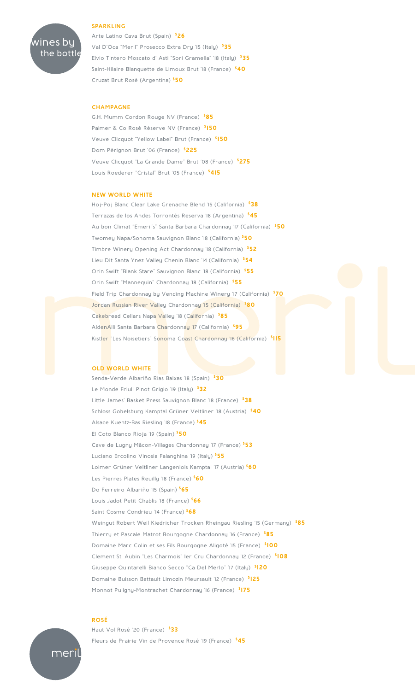



**Arte Latino Cava Brut (Spain) \$26 Val D'Oca "Meril" Prosecco Extra Dry '15 (Italy) \$35 Elvio Tintero Moscato d' Asti "Sori Gramella" '18 (Italy) \$35 Saint-Hilaire Blanquette de Limoux Brut '18 (France) \$40 Cruzat Brut Rosé (Argentina) \$50** 

#### **CHAMPAGNE**

**G.H. Mumm Cordon Rouge NV (France) \$85 Palmer & Co Rosé Réserve NV (France) \$150 Veuve Clicquot "Yellow Label" Brut (France) \$150 Dom Pérignon Brut '06 (France) \$225 Veuve Clicquot "La Grande Dame" Brut '08 (France) \$275 Louis Roederer "Cristal" Brut '05 (France) \$415**

#### **NEW WORLD WHITE**

**Hoj-Poj Blanc Clear Lake Grenache Blend '15 (California) \$38 Terrazas de los Andes Torrontés Reserva '18 (Argentina) \$45 Au bon Climat "Emeril's" Santa Barbara Chardonnay '17 (California) \$50 Twomey Napa/Sonoma Sauvignon Blanc '18 (California) \$50 Timbre Winery Opening Act Chardonnay '18 (California) \$52 Lieu Dit Santa Ynez Valley Chenin Blanc '14 (California) \$54 Orin Swift "Blank Stare" Sauvignon Blanc '18 (California) \$55 Orin Swift "Mannequin" Chardonnay '18 (California) \$55 Field Trip Chardonnay by Vending Machine Winery '17 (California) \$70 Jordan Russian River Valley Chardonnay '15 (California) \$80 Cakebread Cellars Napa Valley '18 (California) \$85 AldenAlli Santa Barbara Chardonnay '17 (California) \$95 Kistler "Les Noisetiers" Sonoma Coast Chardonnay '16 (California) \$115**

#### **OLD WORLD WHITE**

**Senda-Verde Albariño Rias Baixas '18 (Spain) \$30 Le Monde Friuli Pinot Grigio '19 (Italy) \$32 Little James' Basket Press Sauvignon Blanc '18 (France) \$38 Schloss Gobelsburg Kamptal Grüner Veltliner '18 (Austria) \$40 Alsace Kuentz-Bas Riesling '18 (France) \$45 El Coto Blanco Rioja '19 (Spain) \$50 Cave de Lugny Mâcon-Villages Chardonnay '17 (France) \$53 Luciano Ercolino Vinosia Falanghina '19 (Italy) \$55 Loimer Grüner Veltliner Langenlois Kamptal '17 (Austria) \$60 Les Pierres Plates Reuilly '18 (France) \$60 Do Ferreiro Albariño '15 (Spain) \$65 Louis Jadot Petit Chablis '18 (France) \$66 Saint Cosme Condrieu '14 (France) \$68 Weingut Robert Weil Kiedricher Trocken Rheingau Riesling '15 (Germany) \$85 Thierry et Pascale Matrot Bourgogne Chardonnay '16 (France) \$85 Domaine Marc Colin et ses Fils Bourgogne Aligoté '15 (France) \$100 Clement St. Aubin "Les Charmois" ler Cru Chardonnay '12 (France) \$108 Giuseppe Quintarelli Bianco Secco "Ca Del Merlo" '17 (Italy) \$120 Domaine Buisson Battault Limozin Meursault '12 (France) \$125 Monnot Puligny-Montrachet Chardonnay '16 (France) \$175**

## **ROSÉ**

meri

**Haut Vol Rosé '20 (France) \$33 Fleurs de Prairie Vin de Provence Rosé '19 (France) \$45**